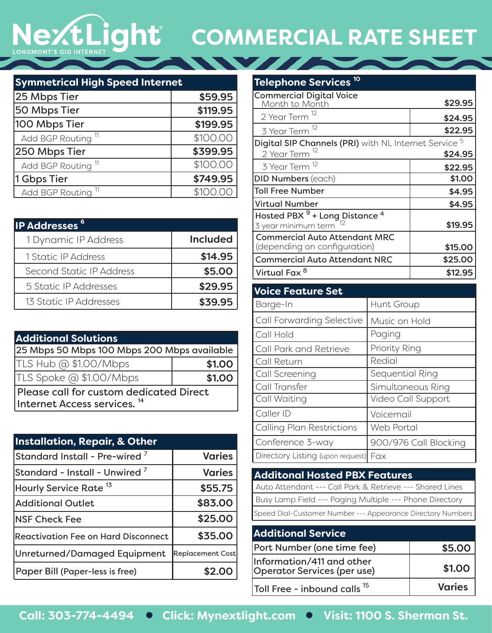## NextLight **COMMERCIAL RATE SHEET**

| <b>Symmetrical High Speed Internet</b> |          |
|----------------------------------------|----------|
| 25 Mbps Tier                           | \$59.95  |
| 50 Mbps Tier                           | \$119.95 |
| 100 Mbps Tier                          | \$199.95 |
| Add BGP Routing <sup>11</sup>          | \$100.00 |
| 250 Mbps Tier                          | \$399.95 |
| Add BGP Routing <sup>11</sup>          | \$100.00 |
| 1 Gbps Tier                            | \$749.95 |
| Add BGP Routing <sup>11</sup>          | \$100.00 |

| <b>IP Addresses<sup>6</sup></b> |                 |
|---------------------------------|-----------------|
| 1 Dynamic IP Address            | <b>Included</b> |
| 1 Static IP Address             | \$14.95         |
| Second Static IP Address        | \$5.00          |
| 5 Static IP Addresses           | \$29.95         |
| 13 Static IP Addresses          | \$39.95         |

| <b>Additional Solutions</b>                                                        |        |
|------------------------------------------------------------------------------------|--------|
| 25 Mbps 50 Mbps 100 Mbps 200 Mbps available                                        |        |
| TLS Hub @ \$1.00/Mbps                                                              | \$1.00 |
| TLS Spoke @ \$1.00/Mbps                                                            | \$1.00 |
| Please call for custom dedicated Direct<br>Internet Access services. <sup>14</sup> |        |

| <b>Installation, Repair, &amp; Other</b>  |                         |
|-------------------------------------------|-------------------------|
| Standard Install - Pre-wired <sup>7</sup> | <b>Varies</b>           |
| $\,$ Standard - Install - Unwired $^7$    | <b>Varies</b>           |
| Hourly Service Rate <sup>13</sup>         | \$55.75                 |
| <b>Additional Outlet</b>                  | \$83.00                 |
| <b>INSF Check Fee</b>                     | \$25.00                 |
| Reactivation Fee on Hard Disconnect       | \$35.00                 |
| Unreturned/Damaged Equipment              | <b>Replacement Cost</b> |
| Paper Bill (Paper-less is free)           |                         |

| Telephone Services <sup>10</sup>                                        |         |
|-------------------------------------------------------------------------|---------|
| <b>Commercial Digital Voice</b><br>Month to Month                       | \$29.95 |
| 2 Year Term <sup>12</sup>                                               | \$24.95 |
| 3 Year Term <sup>12</sup>                                               | \$22.95 |
| <b>Digital SIP Channels (PRI)</b> with NL Internet Service <sup>5</sup> |         |
| 2 Year Term <sup>12</sup>                                               | \$24.95 |
| 3 Year Term <sup>12</sup>                                               | \$22.95 |
| <b>DID Numbers (each)</b>                                               | \$1.00  |
| <b>Toll Free Number</b>                                                 | \$4.95  |
| <b>Virtual Number</b>                                                   | \$4.95  |
| Hosted PBX $9$ + Long Distance $4$<br>3 year minimum term               | \$19.95 |
| <b>Commercial Auto Attendant MRC</b>                                    |         |
| (depending on configuration)                                            | \$15.00 |
| <b>Commercial Auto Attendant NRC</b>                                    | \$25.00 |
| Virtual Fax 8                                                           | \$12.95 |

| <b>Voice Feature Set</b>         |                       |
|----------------------------------|-----------------------|
| Barge-In                         | Hunt Group            |
| Call Forwarding Selective        | Music on Hold         |
| Call Hold                        | Paging                |
| <b>Call Park and Retrieve</b>    | Priority Ring         |
| Call Return                      | Redial                |
| Call Screening                   | Sequential Ring       |
| Call Transfer                    | Simultaneous Ring     |
| Call Waiting                     | Video Call Support    |
| Caller ID                        | Voicemail             |
| <b>Calling Plan Restrictions</b> | Web Portal            |
| Conference 3-way                 | 900/976 Call Blocking |
| Directory Listing (upon request) | Fax                   |

| <b>Additonal Hosted PBX Features</b>                        |
|-------------------------------------------------------------|
| Auto Attendant --- Call Park & Retrieve --- Shared Lines    |
| Busy Lamp Field --- Paging Multiple --- Phone Directory     |
| Speed Dial-Customer Number --- Appearance Directory Numbers |

| <b>Additional Service</b>                                       |               |
|-----------------------------------------------------------------|---------------|
| Port Number (one time fee)                                      | \$5.00        |
| Information/411 and other<br><b>Operator Services (per use)</b> | \$1.00        |
| Toll Free - inbound calls <sup>15</sup>                         | <b>Varies</b> |

Call: 303-774-4494 Click: Mynextlight.com Clisit: 1100 S. Sherman St.